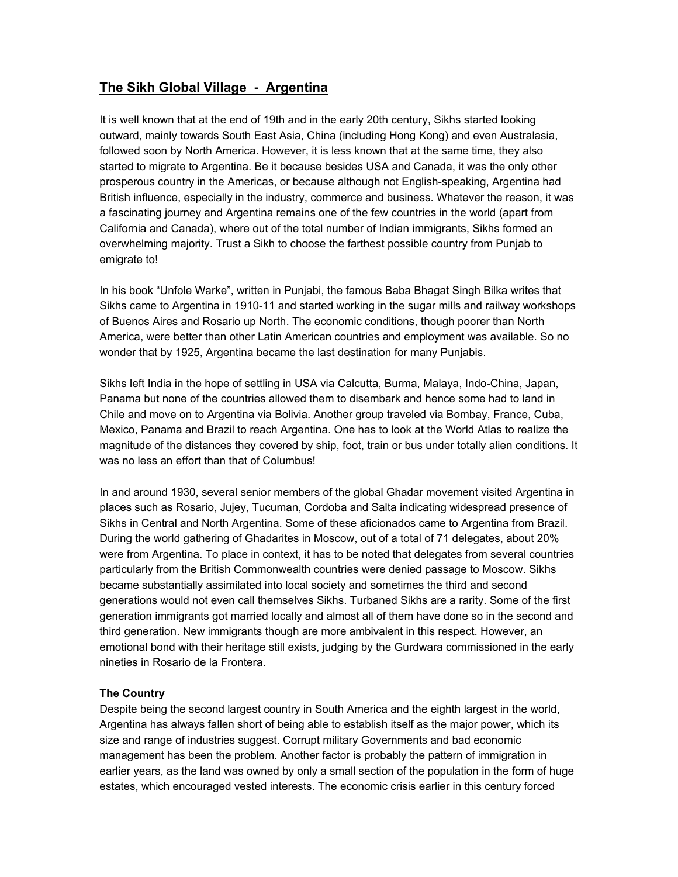# **The Sikh Global Village - Argentina**

It is well known that at the end of 19th and in the early 20th century, Sikhs started looking outward, mainly towards South East Asia, China (including Hong Kong) and even Australasia, followed soon by North America. However, it is less known that at the same time, they also started to migrate to Argentina. Be it because besides USA and Canada, it was the only other prosperous country in the Americas, or because although not English-speaking, Argentina had British influence, especially in the industry, commerce and business. Whatever the reason, it was a fascinating journey and Argentina remains one of the few countries in the world (apart from California and Canada), where out of the total number of Indian immigrants, Sikhs formed an overwhelming majority. Trust a Sikh to choose the farthest possible country from Punjab to emigrate to!

In his book "Unfole Warke", written in Punjabi, the famous Baba Bhagat Singh Bilka writes that Sikhs came to Argentina in 1910-11 and started working in the sugar mills and railway workshops of Buenos Aires and Rosario up North. The economic conditions, though poorer than North America, were better than other Latin American countries and employment was available. So no wonder that by 1925, Argentina became the last destination for many Punjabis.

Sikhs left India in the hope of settling in USA via Calcutta, Burma, Malaya, Indo-China, Japan, Panama but none of the countries allowed them to disembark and hence some had to land in Chile and move on to Argentina via Bolivia. Another group traveled via Bombay, France, Cuba, Mexico, Panama and Brazil to reach Argentina. One has to look at the World Atlas to realize the magnitude of the distances they covered by ship, foot, train or bus under totally alien conditions. It was no less an effort than that of Columbus!

In and around 1930, several senior members of the global Ghadar movement visited Argentina in places such as Rosario, Jujey, Tucuman, Cordoba and Salta indicating widespread presence of Sikhs in Central and North Argentina. Some of these aficionados came to Argentina from Brazil. During the world gathering of Ghadarites in Moscow, out of a total of 71 delegates, about 20% were from Argentina. To place in context, it has to be noted that delegates from several countries particularly from the British Commonwealth countries were denied passage to Moscow. Sikhs became substantially assimilated into local society and sometimes the third and second generations would not even call themselves Sikhs. Turbaned Sikhs are a rarity. Some of the first generation immigrants got married locally and almost all of them have done so in the second and third generation. New immigrants though are more ambivalent in this respect. However, an emotional bond with their heritage still exists, judging by the Gurdwara commissioned in the early nineties in Rosario de la Frontera.

## **The Country**

Despite being the second largest country in South America and the eighth largest in the world, Argentina has always fallen short of being able to establish itself as the major power, which its size and range of industries suggest. Corrupt military Governments and bad economic management has been the problem. Another factor is probably the pattern of immigration in earlier years, as the land was owned by only a small section of the population in the form of huge estates, which encouraged vested interests. The economic crisis earlier in this century forced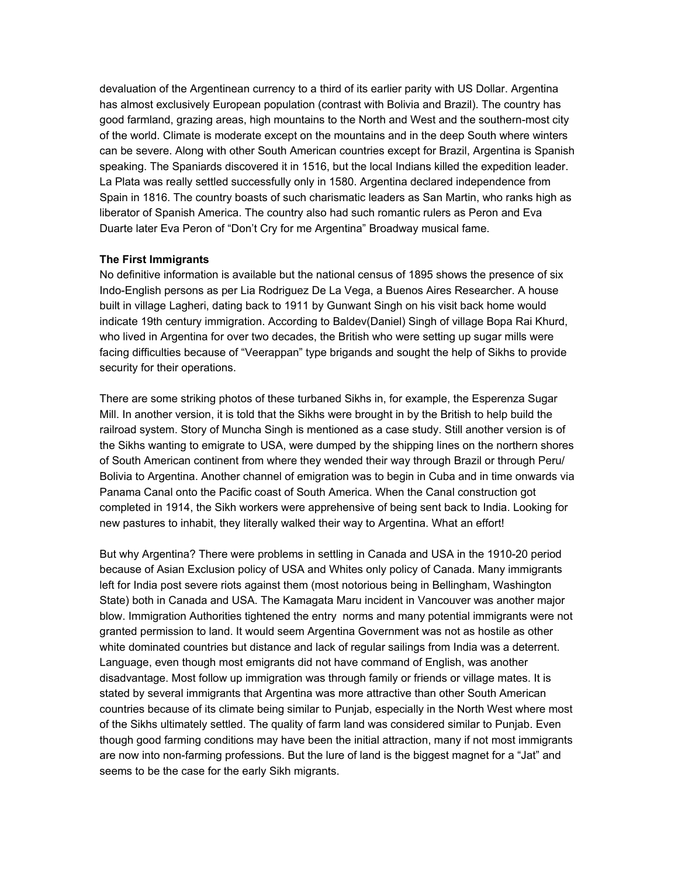devaluation of the Argentinean currency to a third of its earlier parity with US Dollar. Argentina has almost exclusively European population (contrast with Bolivia and Brazil). The country has good farmland, grazing areas, high mountains to the North and West and the southern-most city of the world. Climate is moderate except on the mountains and in the deep South where winters can be severe. Along with other South American countries except for Brazil, Argentina is Spanish speaking. The Spaniards discovered it in 1516, but the local Indians killed the expedition leader. La Plata was really settled successfully only in 1580. Argentina declared independence from Spain in 1816. The country boasts of such charismatic leaders as San Martin, who ranks high as liberator of Spanish America. The country also had such romantic rulers as Peron and Eva Duarte later Eva Peron of "Don't Cry for me Argentina" Broadway musical fame.

#### **The First Immigrants**

No definitive information is available but the national census of 1895 shows the presence of six Indo-English persons as per Lia Rodriguez De La Vega, a Buenos Aires Researcher. A house built in village Lagheri, dating back to 1911 by Gunwant Singh on his visit back home would indicate 19th century immigration. According to Baldev(Daniel) Singh of village Bopa Rai Khurd, who lived in Argentina for over two decades, the British who were setting up sugar mills were facing difficulties because of "Veerappan" type brigands and sought the help of Sikhs to provide security for their operations.

There are some striking photos of these turbaned Sikhs in, for example, the Esperenza Sugar Mill. In another version, it is told that the Sikhs were brought in by the British to help build the railroad system. Story of Muncha Singh is mentioned as a case study. Still another version is of the Sikhs wanting to emigrate to USA, were dumped by the shipping lines on the northern shores of South American continent from where they wended their way through Brazil or through Peru/ Bolivia to Argentina. Another channel of emigration was to begin in Cuba and in time onwards via Panama Canal onto the Pacific coast of South America. When the Canal construction got completed in 1914, the Sikh workers were apprehensive of being sent back to India. Looking for new pastures to inhabit, they literally walked their way to Argentina. What an effort!

But why Argentina? There were problems in settling in Canada and USA in the 1910-20 period because of Asian Exclusion policy of USA and Whites only policy of Canada. Many immigrants left for India post severe riots against them (most notorious being in Bellingham, Washington State) both in Canada and USA. The Kamagata Maru incident in Vancouver was another major blow. Immigration Authorities tightened the entry norms and many potential immigrants were not granted permission to land. It would seem Argentina Government was not as hostile as other white dominated countries but distance and lack of regular sailings from India was a deterrent. Language, even though most emigrants did not have command of English, was another disadvantage. Most follow up immigration was through family or friends or village mates. It is stated by several immigrants that Argentina was more attractive than other South American countries because of its climate being similar to Punjab, especially in the North West where most of the Sikhs ultimately settled. The quality of farm land was considered similar to Punjab. Even though good farming conditions may have been the initial attraction, many if not most immigrants are now into non-farming professions. But the lure of land is the biggest magnet for a "Jat" and seems to be the case for the early Sikh migrants.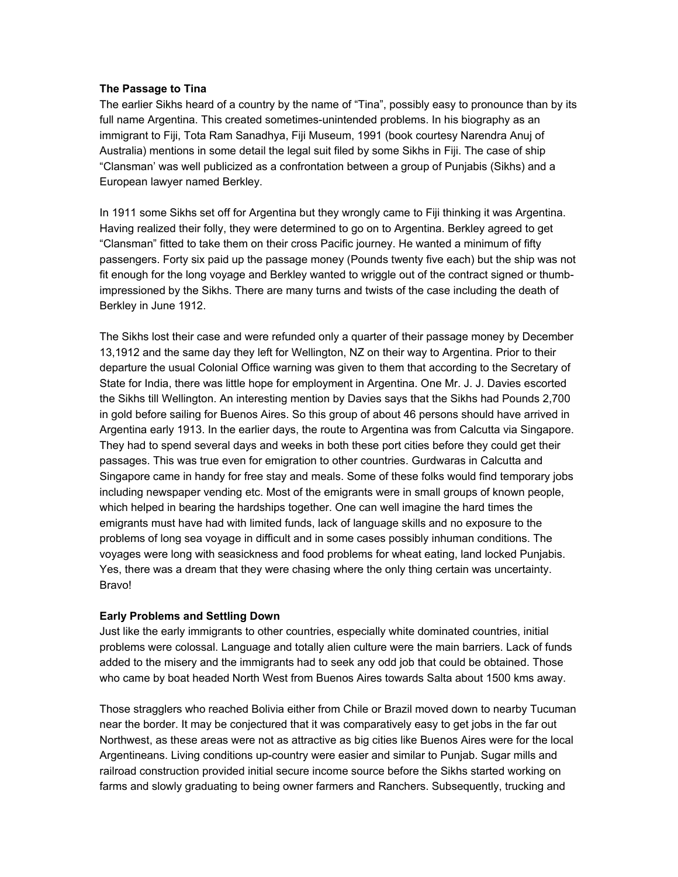### **The Passage to Tina**

The earlier Sikhs heard of a country by the name of "Tina", possibly easy to pronounce than by its full name Argentina. This created sometimes-unintended problems. In his biography as an immigrant to Fiji, Tota Ram Sanadhya, Fiji Museum, 1991 (book courtesy Narendra Anuj of Australia) mentions in some detail the legal suit filed by some Sikhs in Fiji. The case of ship "Clansman' was well publicized as a confrontation between a group of Punjabis (Sikhs) and a European lawyer named Berkley.

In 1911 some Sikhs set off for Argentina but they wrongly came to Fiji thinking it was Argentina. Having realized their folly, they were determined to go on to Argentina. Berkley agreed to get "Clansman" fitted to take them on their cross Pacific journey. He wanted a minimum of fifty passengers. Forty six paid up the passage money (Pounds twenty five each) but the ship was not fit enough for the long voyage and Berkley wanted to wriggle out of the contract signed or thumbimpressioned by the Sikhs. There are many turns and twists of the case including the death of Berkley in June 1912.

The Sikhs lost their case and were refunded only a quarter of their passage money by December 13,1912 and the same day they left for Wellington, NZ on their way to Argentina. Prior to their departure the usual Colonial Office warning was given to them that according to the Secretary of State for India, there was little hope for employment in Argentina. One Mr. J. J. Davies escorted the Sikhs till Wellington. An interesting mention by Davies says that the Sikhs had Pounds 2,700 in gold before sailing for Buenos Aires. So this group of about 46 persons should have arrived in Argentina early 1913. In the earlier days, the route to Argentina was from Calcutta via Singapore. They had to spend several days and weeks in both these port cities before they could get their passages. This was true even for emigration to other countries. Gurdwaras in Calcutta and Singapore came in handy for free stay and meals. Some of these folks would find temporary jobs including newspaper vending etc. Most of the emigrants were in small groups of known people, which helped in bearing the hardships together. One can well imagine the hard times the emigrants must have had with limited funds, lack of language skills and no exposure to the problems of long sea voyage in difficult and in some cases possibly inhuman conditions. The voyages were long with seasickness and food problems for wheat eating, land locked Punjabis. Yes, there was a dream that they were chasing where the only thing certain was uncertainty. Bravo!

## **Early Problems and Settling Down**

Just like the early immigrants to other countries, especially white dominated countries, initial problems were colossal. Language and totally alien culture were the main barriers. Lack of funds added to the misery and the immigrants had to seek any odd job that could be obtained. Those who came by boat headed North West from Buenos Aires towards Salta about 1500 kms away.

Those stragglers who reached Bolivia either from Chile or Brazil moved down to nearby Tucuman near the border. It may be conjectured that it was comparatively easy to get jobs in the far out Northwest, as these areas were not as attractive as big cities like Buenos Aires were for the local Argentineans. Living conditions up-country were easier and similar to Punjab. Sugar mills and railroad construction provided initial secure income source before the Sikhs started working on farms and slowly graduating to being owner farmers and Ranchers. Subsequently, trucking and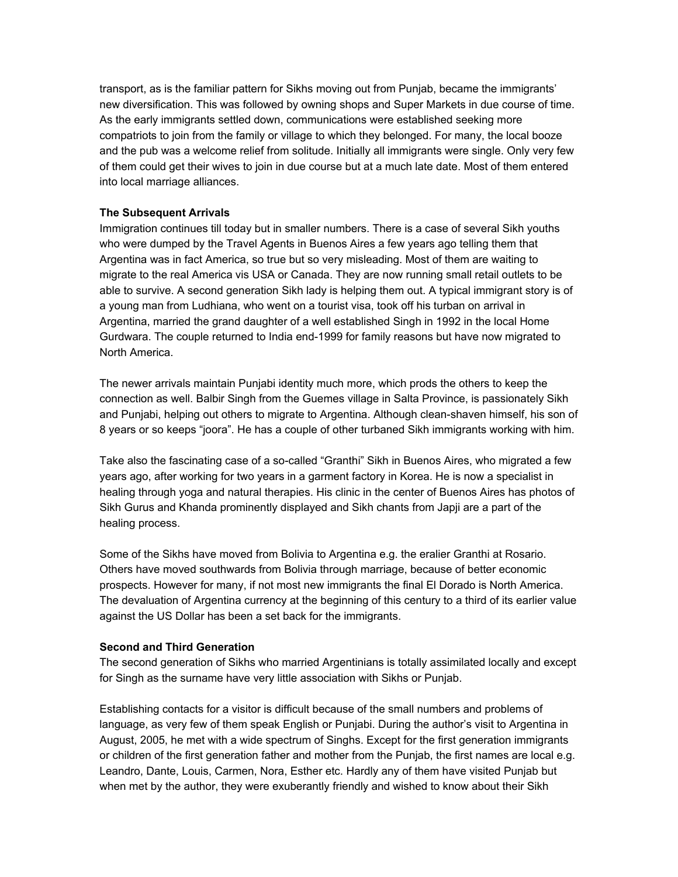transport, as is the familiar pattern for Sikhs moving out from Punjab, became the immigrants' new diversification. This was followed by owning shops and Super Markets in due course of time. As the early immigrants settled down, communications were established seeking more compatriots to join from the family or village to which they belonged. For many, the local booze and the pub was a welcome relief from solitude. Initially all immigrants were single. Only very few of them could get their wives to join in due course but at a much late date. Most of them entered into local marriage alliances.

#### **The Subsequent Arrivals**

Immigration continues till today but in smaller numbers. There is a case of several Sikh youths who were dumped by the Travel Agents in Buenos Aires a few years ago telling them that Argentina was in fact America, so true but so very misleading. Most of them are waiting to migrate to the real America vis USA or Canada. They are now running small retail outlets to be able to survive. A second generation Sikh lady is helping them out. A typical immigrant story is of a young man from Ludhiana, who went on a tourist visa, took off his turban on arrival in Argentina, married the grand daughter of a well established Singh in 1992 in the local Home Gurdwara. The couple returned to India end-1999 for family reasons but have now migrated to North America.

The newer arrivals maintain Punjabi identity much more, which prods the others to keep the connection as well. Balbir Singh from the Guemes village in Salta Province, is passionately Sikh and Punjabi, helping out others to migrate to Argentina. Although clean-shaven himself, his son of 8 years or so keeps "joora". He has a couple of other turbaned Sikh immigrants working with him.

Take also the fascinating case of a so-called "Granthi" Sikh in Buenos Aires, who migrated a few years ago, after working for two years in a garment factory in Korea. He is now a specialist in healing through yoga and natural therapies. His clinic in the center of Buenos Aires has photos of Sikh Gurus and Khanda prominently displayed and Sikh chants from Japji are a part of the healing process.

Some of the Sikhs have moved from Bolivia to Argentina e.g. the eralier Granthi at Rosario. Others have moved southwards from Bolivia through marriage, because of better economic prospects. However for many, if not most new immigrants the final El Dorado is North America. The devaluation of Argentina currency at the beginning of this century to a third of its earlier value against the US Dollar has been a set back for the immigrants.

#### **Second and Third Generation**

The second generation of Sikhs who married Argentinians is totally assimilated locally and except for Singh as the surname have very little association with Sikhs or Punjab.

Establishing contacts for a visitor is difficult because of the small numbers and problems of language, as very few of them speak English or Punjabi. During the author's visit to Argentina in August, 2005, he met with a wide spectrum of Singhs. Except for the first generation immigrants or children of the first generation father and mother from the Punjab, the first names are local e.g. Leandro, Dante, Louis, Carmen, Nora, Esther etc. Hardly any of them have visited Punjab but when met by the author, they were exuberantly friendly and wished to know about their Sikh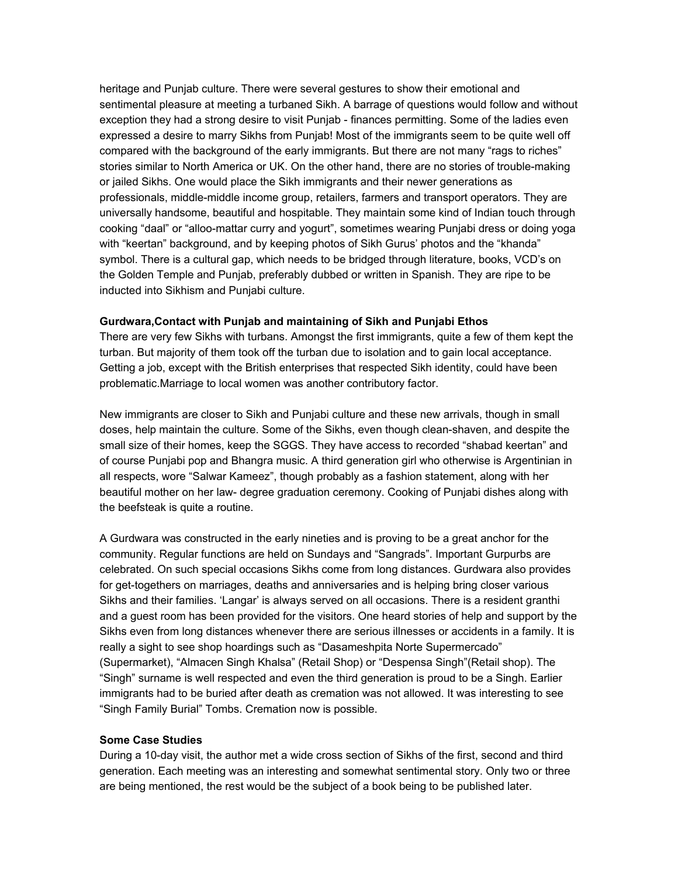heritage and Punjab culture. There were several gestures to show their emotional and sentimental pleasure at meeting a turbaned Sikh. A barrage of questions would follow and without exception they had a strong desire to visit Punjab - finances permitting. Some of the ladies even expressed a desire to marry Sikhs from Punjab! Most of the immigrants seem to be quite well off compared with the background of the early immigrants. But there are not many "rags to riches" stories similar to North America or UK. On the other hand, there are no stories of trouble-making or jailed Sikhs. One would place the Sikh immigrants and their newer generations as professionals, middle-middle income group, retailers, farmers and transport operators. They are universally handsome, beautiful and hospitable. They maintain some kind of Indian touch through cooking "daal" or "alloo-mattar curry and yogurt", sometimes wearing Punjabi dress or doing yoga with "keertan" background, and by keeping photos of Sikh Gurus' photos and the "khanda" symbol. There is a cultural gap, which needs to be bridged through literature, books, VCD's on the Golden Temple and Punjab, preferably dubbed or written in Spanish. They are ripe to be inducted into Sikhism and Punjabi culture.

#### **Gurdwara,Contact with Punjab and maintaining of Sikh and Punjabi Ethos**

There are very few Sikhs with turbans. Amongst the first immigrants, quite a few of them kept the turban. But majority of them took off the turban due to isolation and to gain local acceptance. Getting a job, except with the British enterprises that respected Sikh identity, could have been problematic.Marriage to local women was another contributory factor.

New immigrants are closer to Sikh and Punjabi culture and these new arrivals, though in small doses, help maintain the culture. Some of the Sikhs, even though clean-shaven, and despite the small size of their homes, keep the SGGS. They have access to recorded "shabad keertan" and of course Punjabi pop and Bhangra music. A third generation girl who otherwise is Argentinian in all respects, wore "Salwar Kameez", though probably as a fashion statement, along with her beautiful mother on her law- degree graduation ceremony. Cooking of Punjabi dishes along with the beefsteak is quite a routine.

A Gurdwara was constructed in the early nineties and is proving to be a great anchor for the community. Regular functions are held on Sundays and "Sangrads". Important Gurpurbs are celebrated. On such special occasions Sikhs come from long distances. Gurdwara also provides for get-togethers on marriages, deaths and anniversaries and is helping bring closer various Sikhs and their families. 'Langar' is always served on all occasions. There is a resident granthi and a guest room has been provided for the visitors. One heard stories of help and support by the Sikhs even from long distances whenever there are serious illnesses or accidents in a family. It is really a sight to see shop hoardings such as "Dasameshpita Norte Supermercado" (Supermarket), "Almacen Singh Khalsa" (Retail Shop) or "Despensa Singh"(Retail shop). The "Singh" surname is well respected and even the third generation is proud to be a Singh. Earlier immigrants had to be buried after death as cremation was not allowed. It was interesting to see "Singh Family Burial" Tombs. Cremation now is possible.

### **Some Case Studies**

During a 10-day visit, the author met a wide cross section of Sikhs of the first, second and third generation. Each meeting was an interesting and somewhat sentimental story. Only two or three are being mentioned, the rest would be the subject of a book being to be published later.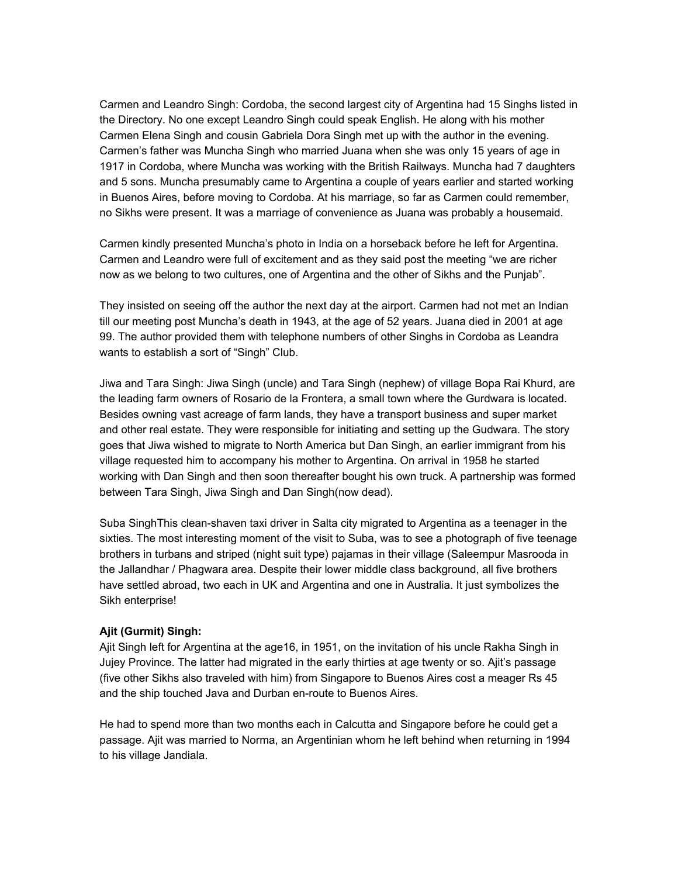Carmen and Leandro Singh: Cordoba, the second largest city of Argentina had 15 Singhs listed in the Directory. No one except Leandro Singh could speak English. He along with his mother Carmen Elena Singh and cousin Gabriela Dora Singh met up with the author in the evening. Carmen's father was Muncha Singh who married Juana when she was only 15 years of age in 1917 in Cordoba, where Muncha was working with the British Railways. Muncha had 7 daughters and 5 sons. Muncha presumably came to Argentina a couple of years earlier and started working in Buenos Aires, before moving to Cordoba. At his marriage, so far as Carmen could remember, no Sikhs were present. It was a marriage of convenience as Juana was probably a housemaid.

Carmen kindly presented Muncha's photo in India on a horseback before he left for Argentina. Carmen and Leandro were full of excitement and as they said post the meeting "we are richer now as we belong to two cultures, one of Argentina and the other of Sikhs and the Punjab".

They insisted on seeing off the author the next day at the airport. Carmen had not met an Indian till our meeting post Muncha's death in 1943, at the age of 52 years. Juana died in 2001 at age 99. The author provided them with telephone numbers of other Singhs in Cordoba as Leandra wants to establish a sort of "Singh" Club.

Jiwa and Tara Singh: Jiwa Singh (uncle) and Tara Singh (nephew) of village Bopa Rai Khurd, are the leading farm owners of Rosario de la Frontera, a small town where the Gurdwara is located. Besides owning vast acreage of farm lands, they have a transport business and super market and other real estate. They were responsible for initiating and setting up the Gudwara. The story goes that Jiwa wished to migrate to North America but Dan Singh, an earlier immigrant from his village requested him to accompany his mother to Argentina. On arrival in 1958 he started working with Dan Singh and then soon thereafter bought his own truck. A partnership was formed between Tara Singh, Jiwa Singh and Dan Singh(now dead).

Suba SinghThis clean-shaven taxi driver in Salta city migrated to Argentina as a teenager in the sixties. The most interesting moment of the visit to Suba, was to see a photograph of five teenage brothers in turbans and striped (night suit type) pajamas in their village (Saleempur Masrooda in the Jallandhar / Phagwara area. Despite their lower middle class background, all five brothers have settled abroad, two each in UK and Argentina and one in Australia. It just symbolizes the Sikh enterprise!

## **Ajit (Gurmit) Singh:**

Ajit Singh left for Argentina at the age16, in 1951, on the invitation of his uncle Rakha Singh in Jujey Province. The latter had migrated in the early thirties at age twenty or so. Ajit's passage (five other Sikhs also traveled with him) from Singapore to Buenos Aires cost a meager Rs 45 and the ship touched Java and Durban en-route to Buenos Aires.

He had to spend more than two months each in Calcutta and Singapore before he could get a passage. Ajit was married to Norma, an Argentinian whom he left behind when returning in 1994 to his village Jandiala.